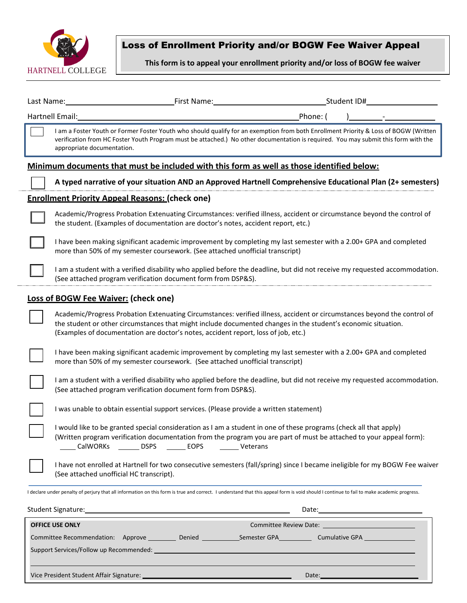

# Loss of Enrollment Priority and/or BOGW Fee Waiver Appeal

**This form is to appeal your enrollment priority and/or loss of BOGW fee waiver**

| Last Name:                                  | First Name:                                                                                                                                                                                                                                                                                                                     |          | Student ID# |  |  |
|---------------------------------------------|---------------------------------------------------------------------------------------------------------------------------------------------------------------------------------------------------------------------------------------------------------------------------------------------------------------------------------|----------|-------------|--|--|
| Hartnell Email:                             |                                                                                                                                                                                                                                                                                                                                 | Phone: ( |             |  |  |
|                                             | I am a Foster Youth or Former Foster Youth who should qualify for an exemption from both Enrollment Priority & Loss of BOGW (Written<br>verification from HC Foster Youth Program must be attached.) No other documentation is required. You may submit this form with the<br>appropriate documentation.                        |          |             |  |  |
|                                             | Minimum documents that must be included with this form as well as those identified below:                                                                                                                                                                                                                                       |          |             |  |  |
|                                             | A typed narrative of your situation AND an Approved Hartnell Comprehensive Educational Plan (2+ semesters)                                                                                                                                                                                                                      |          |             |  |  |
|                                             | <b>Enrollment Priority Appeal Reasons: (check one)</b>                                                                                                                                                                                                                                                                          |          |             |  |  |
|                                             | Academic/Progress Probation Extenuating Circumstances: verified illness, accident or circumstance beyond the control of<br>the student. (Examples of documentation are doctor's notes, accident report, etc.)                                                                                                                   |          |             |  |  |
|                                             | I have been making significant academic improvement by completing my last semester with a 2.00+ GPA and completed<br>more than 50% of my semester coursework. (See attached unofficial transcript)                                                                                                                              |          |             |  |  |
|                                             | I am a student with a verified disability who applied before the deadline, but did not receive my requested accommodation.<br>(See attached program verification document form from DSP&S).                                                                                                                                     |          |             |  |  |
| <b>Loss of BOGW Fee Waiver: (check one)</b> |                                                                                                                                                                                                                                                                                                                                 |          |             |  |  |
|                                             | Academic/Progress Probation Extenuating Circumstances: verified illness, accident or circumstances beyond the control of<br>the student or other circumstances that might include documented changes in the student's economic situation.<br>(Examples of documentation are doctor's notes, accident report, loss of job, etc.) |          |             |  |  |
|                                             | I have been making significant academic improvement by completing my last semester with a 2.00+ GPA and completed<br>more than 50% of my semester coursework. (See attached unofficial transcript)                                                                                                                              |          |             |  |  |
|                                             | I am a student with a verified disability who applied before the deadline, but did not receive my requested accommodation.<br>(See attached program verification document form from DSP&S).                                                                                                                                     |          |             |  |  |
|                                             | I was unable to obtain essential support services. (Please provide a written statement)                                                                                                                                                                                                                                         |          |             |  |  |
|                                             | I would like to be granted special consideration as I am a student in one of these programs (check all that apply)<br>(Written program verification documentation from the program you are part of must be attached to your appeal form):<br>CalWORKs DSPS<br><b>EOPS</b><br><b>Veterans</b>                                    |          |             |  |  |
|                                             | I have not enrolled at Hartnell for two consecutive semesters (fall/spring) since I became ineligible for my BOGW Fee waiver<br>(See attached unofficial HC transcript).                                                                                                                                                        |          |             |  |  |
|                                             | I declare under penalty of perjury that all information on this form is true and correct. I understand that this appeal form is void should I continue to fail to make academic progress.                                                                                                                                       |          |             |  |  |
|                                             | Student Signature: Management of the Contract of the Contract of the Contract of the Contract of the Contract of the Contract of the Contract of the Contract of the Contract of the Contract of the Contract of the Contract                                                                                                   |          |             |  |  |
| <b>OFFICE USE ONLY</b>                      |                                                                                                                                                                                                                                                                                                                                 |          |             |  |  |

| <b>OFFICE USE ONLY</b>                   | <b>Committee Review Date: Committee Review Date: Committee Review Date:</b> |              |                                  |
|------------------------------------------|-----------------------------------------------------------------------------|--------------|----------------------------------|
| Committee Recommendation:<br>Approve     | Denied                                                                      | Semester GPA | Cumulative GPA <b>Cumulation</b> |
| Support Services/Follow up Recommended:  |                                                                             |              |                                  |
| Vice President Student Affair Signature: |                                                                             |              | Date:                            |